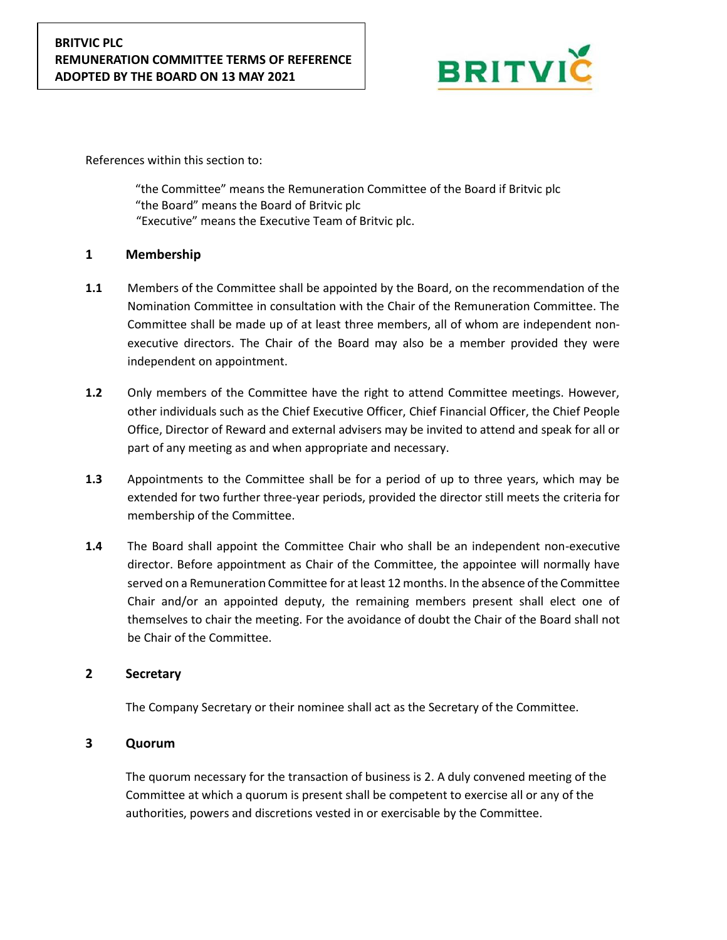

References within this section to:

"the Committee" means the Remuneration Committee of the Board if Britvic plc "the Board" means the Board of Britvic plc "Executive" means the Executive Team of Britvic plc.

# **1 Membership**

- **1.1** Members of the Committee shall be appointed by the Board, on the recommendation of the Nomination Committee in consultation with the Chair of the Remuneration Committee. The Committee shall be made up of at least three members, all of whom are independent nonexecutive directors. The Chair of the Board may also be a member provided they were independent on appointment.
- **1.2** Only members of the Committee have the right to attend Committee meetings. However, other individuals such as the Chief Executive Officer, Chief Financial Officer, the Chief People Office, Director of Reward and external advisers may be invited to attend and speak for all or part of any meeting as and when appropriate and necessary.
- **1.3** Appointments to the Committee shall be for a period of up to three years, which may be extended for two further three-year periods, provided the director still meets the criteria for membership of the Committee.
- **1.4** The Board shall appoint the Committee Chair who shall be an independent non-executive director. Before appointment as Chair of the Committee, the appointee will normally have served on a Remuneration Committee for at least 12 months. In the absence of the Committee Chair and/or an appointed deputy, the remaining members present shall elect one of themselves to chair the meeting. For the avoidance of doubt the Chair of the Board shall not be Chair of the Committee.

### **2 Secretary**

The Company Secretary or their nominee shall act as the Secretary of the Committee.

# **3 Quorum**

The quorum necessary for the transaction of business is 2. A duly convened meeting of the Committee at which a quorum is present shall be competent to exercise all or any of the authorities, powers and discretions vested in or exercisable by the Committee.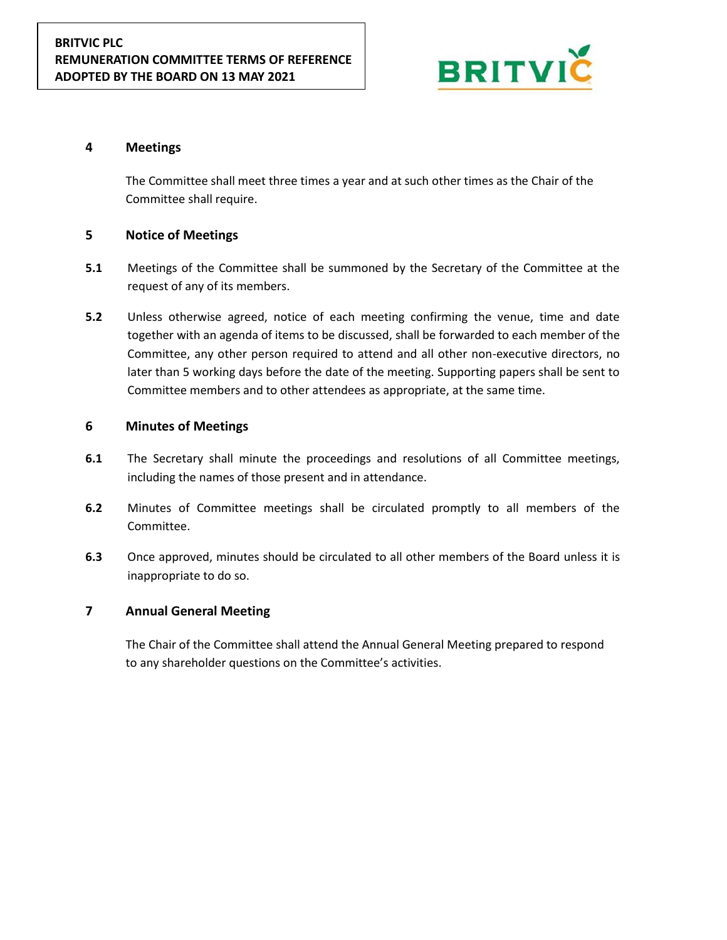

## **4 Meetings**

The Committee shall meet three times a year and at such other times as the Chair of the Committee shall require.

## **5 Notice of Meetings**

- **5.1** Meetings of the Committee shall be summoned by the Secretary of the Committee at the request of any of its members.
- **5.2** Unless otherwise agreed, notice of each meeting confirming the venue, time and date together with an agenda of items to be discussed, shall be forwarded to each member of the Committee, any other person required to attend and all other non-executive directors, no later than 5 working days before the date of the meeting. Supporting papers shall be sent to Committee members and to other attendees as appropriate, at the same time.

### **6 Minutes of Meetings**

- **6.1** The Secretary shall minute the proceedings and resolutions of all Committee meetings, including the names of those present and in attendance.
- **6.2** Minutes of Committee meetings shall be circulated promptly to all members of the Committee.
- **6.3** Once approved, minutes should be circulated to all other members of the Board unless it is inappropriate to do so.

### **7 Annual General Meeting**

The Chair of the Committee shall attend the Annual General Meeting prepared to respond to any shareholder questions on the Committee's activities.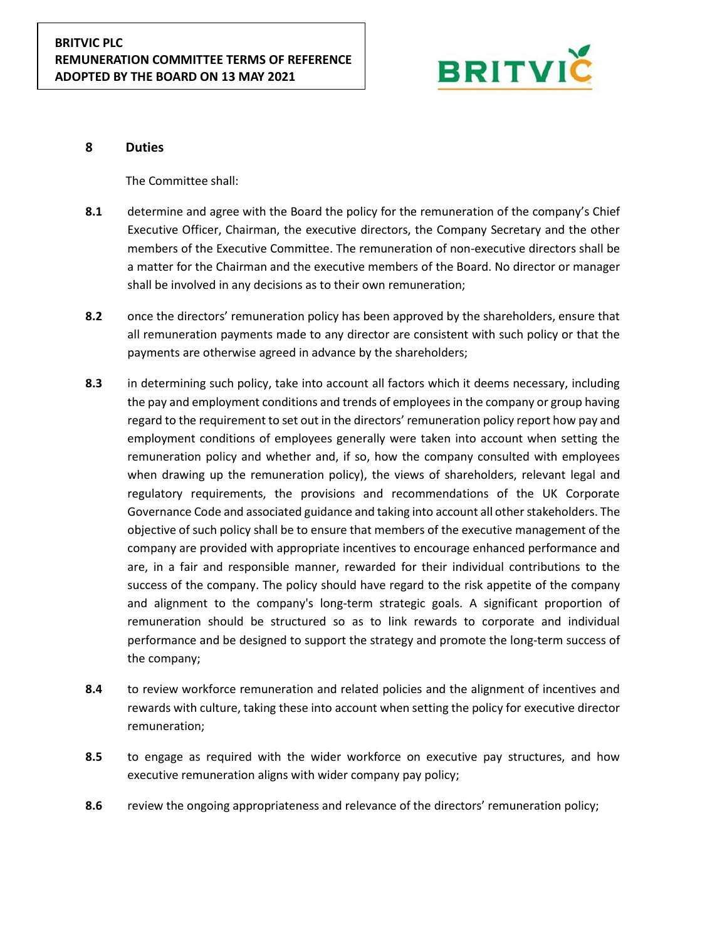

#### **8 Duties**

The Committee shall:

- **8.1** determine and agree with the Board the policy for the remuneration of the company's Chief Executive Officer, Chairman, the executive directors, the Company Secretary and the other members of the Executive Committee. The remuneration of non-executive directors shall be a matter for the Chairman and the executive members of the Board. No director or manager shall be involved in any decisions as to their own remuneration;
- **8.2** once the directors' remuneration policy has been approved by the shareholders, ensure that all remuneration payments made to any director are consistent with such policy or that the payments are otherwise agreed in advance by the shareholders;
- **8.3** in determining such policy, take into account all factors which it deems necessary, including the pay and employment conditions and trends of employees in the company or group having regard to the requirement to set out in the directors' remuneration policy report how pay and employment conditions of employees generally were taken into account when setting the remuneration policy and whether and, if so, how the company consulted with employees when drawing up the remuneration policy), the views of shareholders, relevant legal and regulatory requirements, the provisions and recommendations of the UK Corporate Governance Code and associated guidance and taking into account all other stakeholders. The objective of such policy shall be to ensure that members of the executive management of the company are provided with appropriate incentives to encourage enhanced performance and are, in a fair and responsible manner, rewarded for their individual contributions to the success of the company. The policy should have regard to the risk appetite of the company and alignment to the company's long-term strategic goals. A significant proportion of remuneration should be structured so as to link rewards to corporate and individual performance and be designed to support the strategy and promote the long-term success of the company;
- **8.4** to review workforce remuneration and related policies and the alignment of incentives and rewards with culture, taking these into account when setting the policy for executive director remuneration;
- **8.5** to engage as required with the wider workforce on executive pay structures, and how executive remuneration aligns with wider company pay policy;
- **8.6** review the ongoing appropriateness and relevance of the directors' remuneration policy;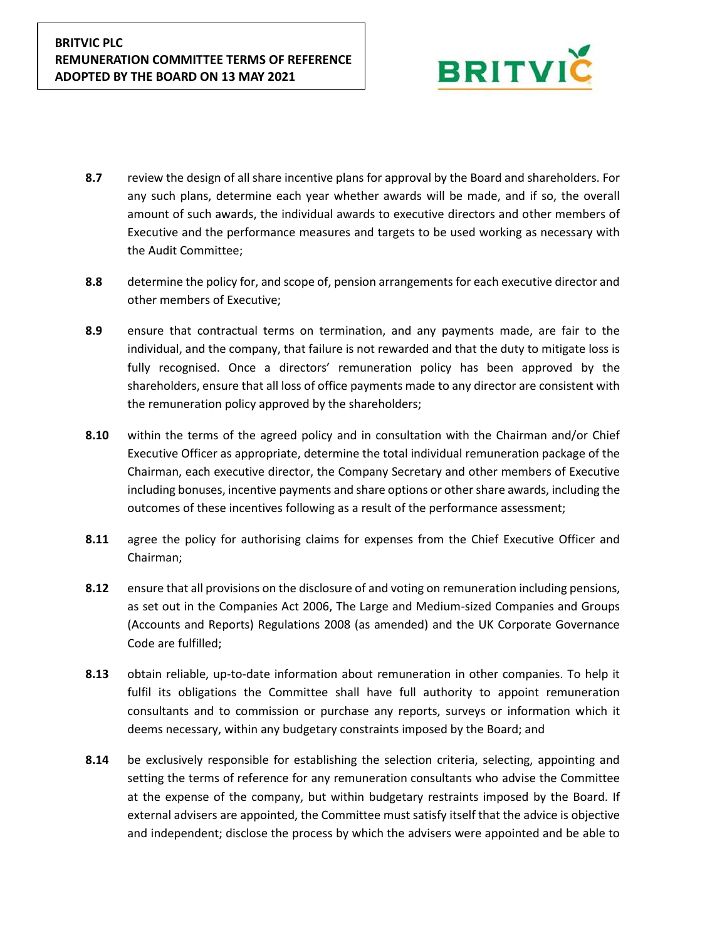

- **8.7** review the design of all share incentive plans for approval by the Board and shareholders. For any such plans, determine each year whether awards will be made, and if so, the overall amount of such awards, the individual awards to executive directors and other members of Executive and the performance measures and targets to be used working as necessary with the Audit Committee;
- **8.8** determine the policy for, and scope of, pension arrangements for each executive director and other members of Executive;
- **8.9** ensure that contractual terms on termination, and any payments made, are fair to the individual, and the company, that failure is not rewarded and that the duty to mitigate loss is fully recognised. Once a directors' remuneration policy has been approved by the shareholders, ensure that all loss of office payments made to any director are consistent with the remuneration policy approved by the shareholders;
- **8.10** within the terms of the agreed policy and in consultation with the Chairman and/or Chief Executive Officer as appropriate, determine the total individual remuneration package of the Chairman, each executive director, the Company Secretary and other members of Executive including bonuses, incentive payments and share options or other share awards, including the outcomes of these incentives following as a result of the performance assessment;
- **8.11** agree the policy for authorising claims for expenses from the Chief Executive Officer and Chairman;
- **8.12** ensure that all provisions on the disclosure of and voting on remuneration including pensions, as set out in the Companies Act 2006, The Large and Medium-sized Companies and Groups (Accounts and Reports) Regulations 2008 (as amended) and the UK Corporate Governance Code are fulfilled;
- **8.13** obtain reliable, up-to-date information about remuneration in other companies. To help it fulfil its obligations the Committee shall have full authority to appoint remuneration consultants and to commission or purchase any reports, surveys or information which it deems necessary, within any budgetary constraints imposed by the Board; and
- **8.14** be exclusively responsible for establishing the selection criteria, selecting, appointing and setting the terms of reference for any remuneration consultants who advise the Committee at the expense of the company, but within budgetary restraints imposed by the Board. If external advisers are appointed, the Committee must satisfy itself that the advice is objective and independent; disclose the process by which the advisers were appointed and be able to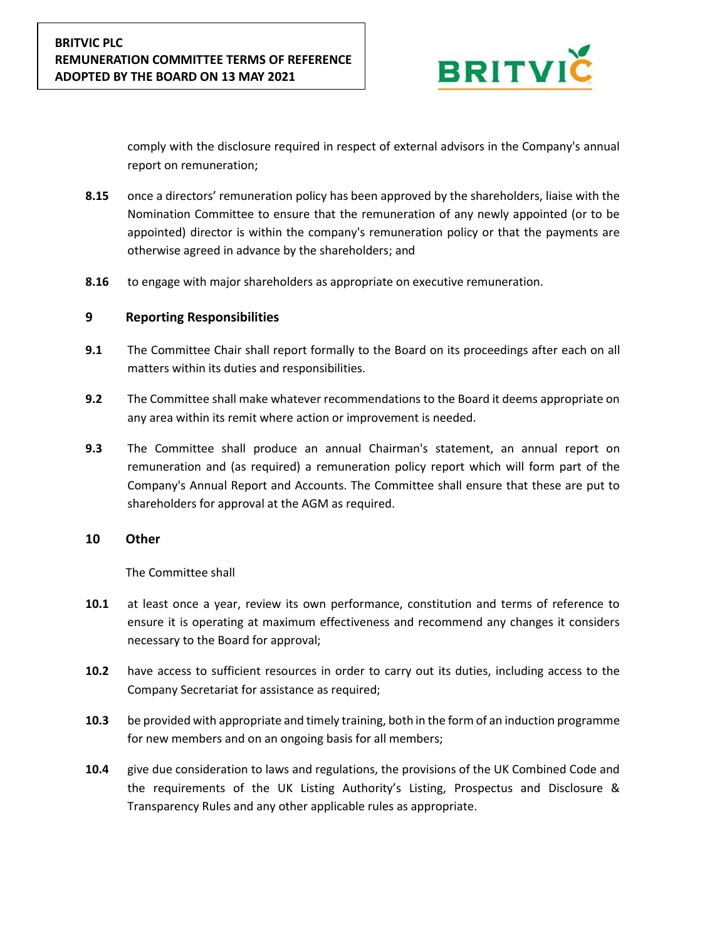

comply with the disclosure required in respect of external advisors in the Company's annual report on remuneration;

- **8.15** once a directors' remuneration policy has been approved by the shareholders, liaise with the Nomination Committee to ensure that the remuneration of any newly appointed (or to be appointed) director is within the company's remuneration policy or that the payments are otherwise agreed in advance by the shareholders; and
- **8.16** to engage with major shareholders as appropriate on executive remuneration.

#### **9 Reporting Responsibilities**

- **9.1** The Committee Chair shall report formally to the Board on its proceedings after each on all matters within its duties and responsibilities.
- **9.2** The Committee shall make whatever recommendations to the Board it deems appropriate on any area within its remit where action or improvement is needed.
- **9.3** The Committee shall produce an annual Chairman's statement, an annual report on remuneration and (as required) a remuneration policy report which will form part of the Company's Annual Report and Accounts. The Committee shall ensure that these are put to shareholders for approval at the AGM as required.

#### **10 Other**

The Committee shall

- **10.1** at least once a year, review its own performance, constitution and terms of reference to ensure it is operating at maximum effectiveness and recommend any changes it considers necessary to the Board for approval;
- **10.2** have access to sufficient resources in order to carry out its duties, including access to the Company Secretariat for assistance as required;
- **10.3** be provided with appropriate and timely training, both in the form of an induction programme for new members and on an ongoing basis for all members;
- **10.4** give due consideration to laws and regulations, the provisions of the UK Combined Code and the requirements of the UK Listing Authority's Listing, Prospectus and Disclosure & Transparency Rules and any other applicable rules as appropriate.